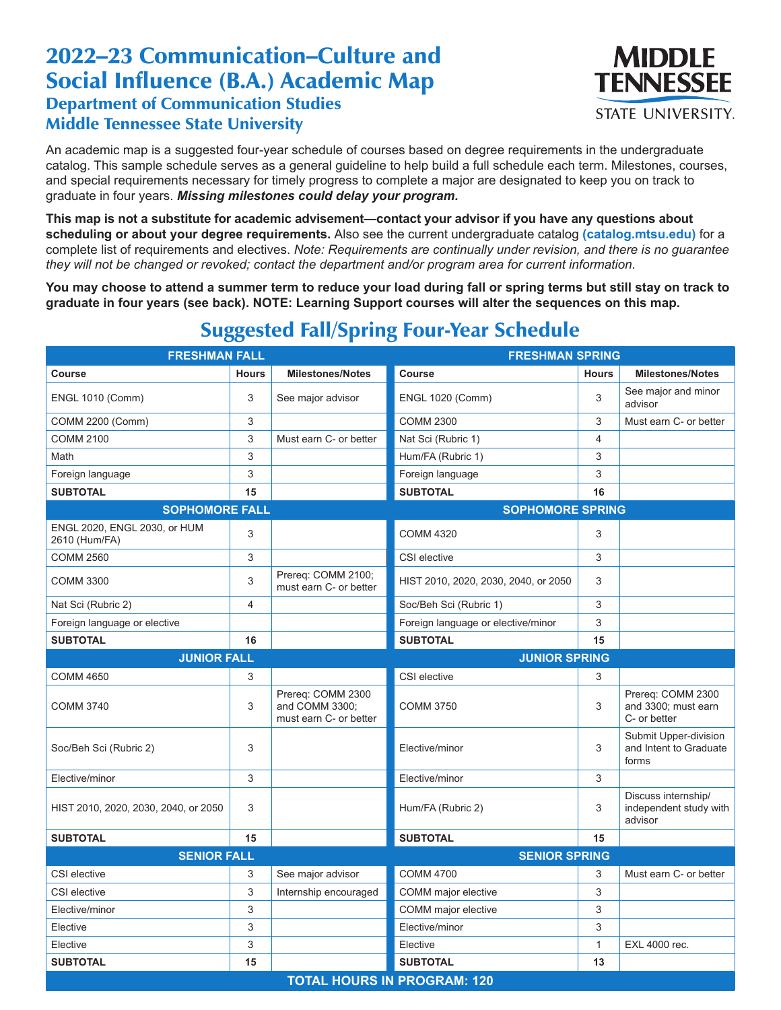## 2022–23 Communication–Culture and Social Influence (B.A.) Academic Map Department of Communication Studies Middle Tennessee State University



An academic map is a suggested four-year schedule of courses based on degree requirements in the undergraduate catalog. This sample schedule serves as a general guideline to help build a full schedule each term. Milestones, courses, and special requirements necessary for timely progress to complete a major are designated to keep you on track to graduate in four years. *Missing milestones could delay your program.*

**This map is not a substitute for academic advisement—contact your advisor if you have any questions about scheduling or about your degree requirements.** Also see the current undergraduate catalog **(catalog.mtsu.edu)** for a complete list of requirements and electives. *Note: Requirements are continually under revision, and there is no guarantee they will not be changed or revoked; contact the department and/or program area for current information.*

**You may choose to attend a summer term to reduce your load during fall or spring terms but still stay on track to graduate in four years (see back). NOTE: Learning Support courses will alter the sequences on this map.**

| <b>FRESHMAN FALL</b>                          |                           |                                                               | <b>FRESHMAN SPRING</b>               |                |                                                          |  |  |
|-----------------------------------------------|---------------------------|---------------------------------------------------------------|--------------------------------------|----------------|----------------------------------------------------------|--|--|
| Course                                        | <b>Hours</b>              | <b>Milestones/Notes</b>                                       | <b>Course</b>                        | <b>Hours</b>   | <b>Milestones/Notes</b>                                  |  |  |
| <b>ENGL 1010 (Comm)</b>                       | 3                         | See major advisor                                             | <b>ENGL 1020 (Comm)</b>              | 3              | See major and minor<br>advisor                           |  |  |
| COMM 2200 (Comm)                              | 3                         |                                                               | <b>COMM 2300</b>                     | 3              | Must earn C- or better                                   |  |  |
| <b>COMM 2100</b>                              | $\ensuremath{\mathsf{3}}$ | Must earn C- or better                                        | Nat Sci (Rubric 1)                   | $\overline{4}$ |                                                          |  |  |
| Math                                          | 3                         |                                                               | Hum/FA (Rubric 1)                    | 3              |                                                          |  |  |
| Foreign language                              | 3                         |                                                               | Foreign language                     | 3              |                                                          |  |  |
| <b>SUBTOTAL</b>                               | 15                        |                                                               | <b>SUBTOTAL</b>                      | 16             |                                                          |  |  |
| <b>SOPHOMORE FALL</b>                         |                           |                                                               | <b>SOPHOMORE SPRING</b>              |                |                                                          |  |  |
| ENGL 2020, ENGL 2030, or HUM<br>2610 (Hum/FA) | 3                         |                                                               | <b>COMM 4320</b>                     | 3              |                                                          |  |  |
| <b>COMM 2560</b>                              | 3                         |                                                               | CSI elective                         | 3              |                                                          |  |  |
| <b>COMM 3300</b>                              | 3                         | Prereq: COMM 2100;<br>must earn C- or better                  | HIST 2010, 2020, 2030, 2040, or 2050 | 3              |                                                          |  |  |
| Nat Sci (Rubric 2)                            | $\overline{4}$            |                                                               | Soc/Beh Sci (Rubric 1)               | 3              |                                                          |  |  |
| Foreign language or elective                  |                           |                                                               | Foreign language or elective/minor   | 3              |                                                          |  |  |
| <b>SUBTOTAL</b>                               | 16                        |                                                               | <b>SUBTOTAL</b>                      | 15             |                                                          |  |  |
| <b>JUNIOR FALL</b>                            |                           |                                                               | <b>JUNIOR SPRING</b>                 |                |                                                          |  |  |
| <b>COMM 4650</b>                              | 3                         |                                                               | CSI elective                         | 3              |                                                          |  |  |
| <b>COMM 3740</b>                              | 3                         | Prereq: COMM 2300<br>and COMM 3300;<br>must earn C- or better | <b>COMM 3750</b>                     | 3              | Prereq: COMM 2300<br>and 3300; must earn<br>C- or better |  |  |
| Soc/Beh Sci (Rubric 2)                        | $\mathfrak{B}$            |                                                               | Elective/minor                       | 3              | Submit Upper-division<br>and Intent to Graduate<br>forms |  |  |
| Elective/minor                                | 3                         |                                                               | Elective/minor                       | 3              |                                                          |  |  |
| HIST 2010, 2020, 2030, 2040, or 2050          | 3                         |                                                               | Hum/FA (Rubric 2)                    | 3              | Discuss internship/<br>independent study with<br>advisor |  |  |
| <b>SUBTOTAL</b>                               | 15                        |                                                               | <b>SUBTOTAL</b>                      | 15             |                                                          |  |  |
| <b>SENIOR FALL</b><br><b>SENIOR SPRING</b>    |                           |                                                               |                                      |                |                                                          |  |  |
| CSI elective                                  | 3                         | See major advisor                                             | <b>COMM 4700</b>                     | 3              | Must earn C- or better                                   |  |  |
| CSI elective                                  | $\mathfrak{B}$            | Internship encouraged                                         | COMM major elective                  | 3              |                                                          |  |  |
| Elective/minor                                | $\mathfrak{B}$            |                                                               | COMM major elective                  | 3              |                                                          |  |  |
| Elective                                      | $\mathfrak{B}$            |                                                               | Elective/minor                       | 3              |                                                          |  |  |
| Elective                                      | 3                         |                                                               | Elective                             | $\mathbf{1}$   | EXL 4000 rec.                                            |  |  |
| <b>SUBTOTAL</b>                               | 15                        |                                                               | <b>SUBTOTAL</b>                      | 13             |                                                          |  |  |
| <b>TOTAL HOURS IN PROGRAM: 120</b>            |                           |                                                               |                                      |                |                                                          |  |  |

## Suggested Fall/Spring Four-Year Schedule